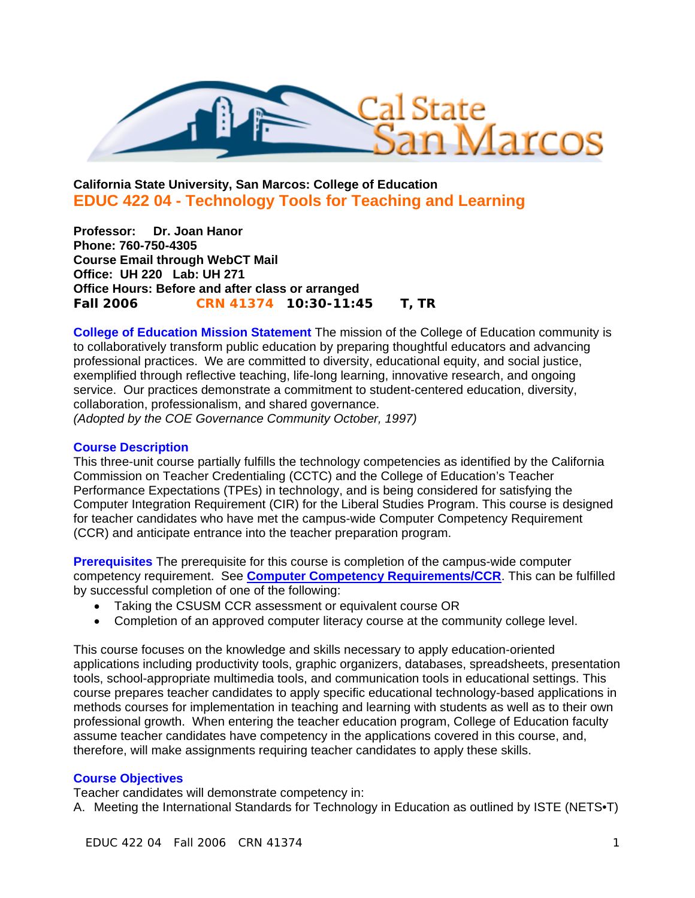

# **California State University, San Marcos: College of Education EDUC 422 04 - Technology Tools for Teaching and Learning**

**Professor: Dr. Joan Hanor Phone: 760-750-4305 Course Email through WebCT Mail Office: UH 220 Lab: UH 271 Office Hours: Before and after class or arranged Fall 2006 CRN 41374 10:30-11:45 T, TR** 

**College of Education Mission Statement** The mission of the College of Education community is to collaboratively transform public education by preparing thoughtful educators and advancing professional practices. We are committed to diversity, educational equity, and social justice, exemplified through reflective teaching, life-long learning, innovative research, and ongoing service. Our practices demonstrate a commitment to student-centered education, diversity, collaboration, professionalism, and shared governance. *(Adopted by the COE Governance Community October, 1997)* 

#### **Course Description**

This three-unit course partially fulfills the technology competencies as identified by the California Commission on Teacher Credentialing (CCTC) and the College of Education's Teacher Performance Expectations (TPEs) in technology, and is being considered for satisfying the Computer Integration Requirement (CIR) for the Liberal Studies Program. This course is designed for teacher candidates who have met the campus-wide Computer Competency Requirement (CCR) and anticipate entrance into the teacher preparation program.

**Prerequisites** The prerequisite for this course is completion of the campus-wide computer competency requirement. See **Computer Competency Requirements/CCR**. This can be fulfilled by successful completion of one of the following:

- Taking the CSUSM CCR assessment or equivalent course OR
- Completion of an approved computer literacy course at the community college level.

This course focuses on the knowledge and skills necessary to apply education-oriented applications including productivity tools, graphic organizers, databases, spreadsheets, presentation tools, school-appropriate multimedia tools, and communication tools in educational settings. This course prepares teacher candidates to apply specific educational technology-based applications in methods courses for implementation in teaching and learning with students as well as to their own professional growth. When entering the teacher education program, College of Education faculty assume teacher candidates have competency in the applications covered in this course, and, therefore, will make assignments requiring teacher candidates to apply these skills.

## **Course Objectives**

Teacher candidates will demonstrate competency in:

A. Meeting the International Standards for Technology in Education as outlined by ISTE (NETS•T)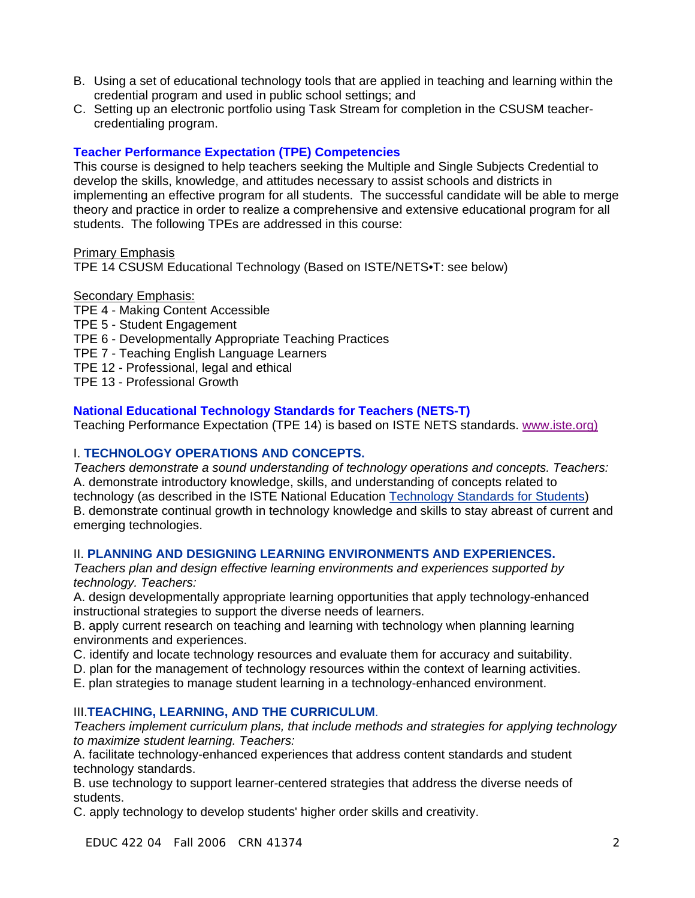- B. Using a set of educational technology tools that are applied in teaching and learning within the credential program and used in public school settings; and
- C. Setting up an electronic portfolio using Task Stream for completion in the CSUSM teachercredentialing program.

## **Teacher Performance Expectation (TPE) Competencies**

This course is designed to help teachers seeking the Multiple and Single Subjects Credential to develop the skills, knowledge, and attitudes necessary to assist schools and districts in implementing an effective program for all students. The successful candidate will be able to merge theory and practice in order to realize a comprehensive and extensive educational program for all students. The following TPEs are addressed in this course:

Primary Emphasis

TPE 14 CSUSM Educational Technology (Based on ISTE/NETS•T: see below)

#### Secondary Emphasis:

- TPE 4 Making Content Accessible TPE 5 - Student Engagement TPE 6 - Developmentally Appropriate Teaching Practices TPE 7 - Teaching English Language Learners
- TPE 12 Professional, legal and ethical
- 
- TPE 13 Professional Growth

## **National Educational Technology Standards for Teachers (NETS-T)**

Teaching Performance Expectation (TPE 14) is based on ISTE NETS standards. www.iste.org)

### I. **TECHNOLOGY OPERATIONS AND CONCEPTS.**

*Teachers demonstrate a sound understanding of technology operations and concepts. Teachers:* A. demonstrate introductory knowledge, skills, and understanding of concepts related to technology (as described in the ISTE National Education Technology Standards for Students) B. demonstrate continual growth in technology knowledge and skills to stay abreast of current and emerging technologies.

#### II. **PLANNING AND DESIGNING LEARNING ENVIRONMENTS AND EXPERIENCES.**

*Teachers plan and design effective learning environments and experiences supported by technology. Teachers:*

A. design developmentally appropriate learning opportunities that apply technology-enhanced instructional strategies to support the diverse needs of learners.

B. apply current research on teaching and learning with technology when planning learning environments and experiences.

- C. identify and locate technology resources and evaluate them for accuracy and suitability.
- D. plan for the management of technology resources within the context of learning activities.
- E. plan strategies to manage student learning in a technology-enhanced environment.

#### III.**TEACHING, LEARNING, AND THE CURRICULUM**.

*Teachers implement curriculum plans, that include methods and strategies for applying technology to maximize student learning. Teachers:*

A. facilitate technology-enhanced experiences that address content standards and student technology standards.

B. use technology to support learner-centered strategies that address the diverse needs of students.

C. apply technology to develop students' higher order skills and creativity.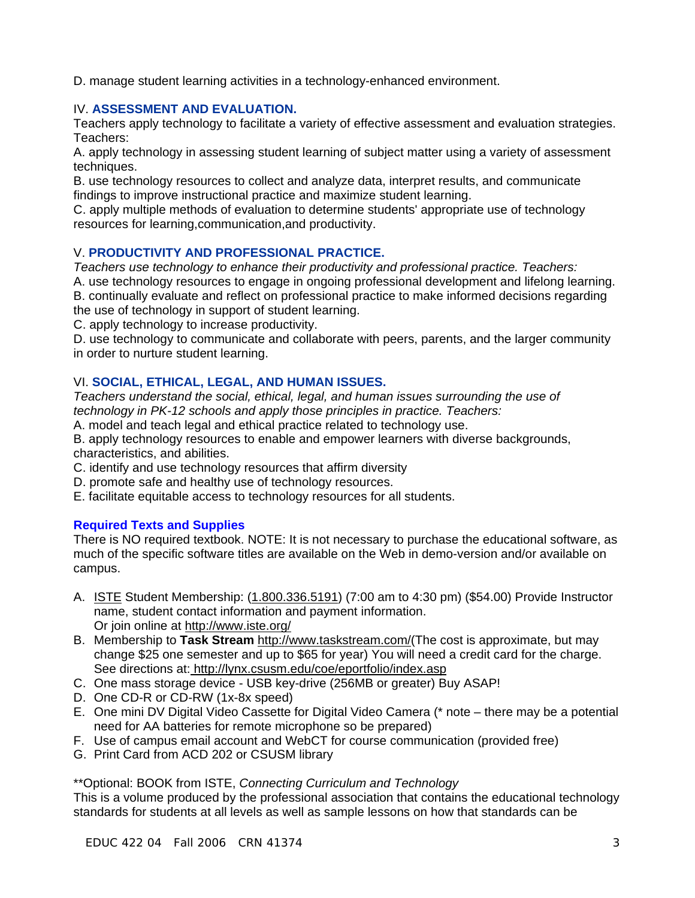D. manage student learning activities in a technology-enhanced environment.

## IV. **ASSESSMENT AND EVALUATION.**

Teachers apply technology to facilitate a variety of effective assessment and evaluation strategies. Teachers:

A. apply technology in assessing student learning of subject matter using a variety of assessment techniques.

B. use technology resources to collect and analyze data, interpret results, and communicate findings to improve instructional practice and maximize student learning.

C. apply multiple methods of evaluation to determine students' appropriate use of technology resources for learning,communication,and productivity.

## V. **PRODUCTIVITY AND PROFESSIONAL PRACTICE.**

*Teachers use technology to enhance their productivity and professional practice. Teachers:*

A. use technology resources to engage in ongoing professional development and lifelong learning. B. continually evaluate and reflect on professional practice to make informed decisions regarding the use of technology in support of student learning.

C. apply technology to increase productivity.

D. use technology to communicate and collaborate with peers, parents, and the larger community in order to nurture student learning.

## VI. **SOCIAL, ETHICAL, LEGAL, AND HUMAN ISSUES.**

*Teachers understand the social, ethical, legal, and human issues surrounding the use of technology in PK-12 schools and apply those principles in practice. Teachers:*

A. model and teach legal and ethical practice related to technology use.

B. apply technology resources to enable and empower learners with diverse backgrounds, characteristics, and abilities.

- C. identify and use technology resources that affirm diversity
- D. promote safe and healthy use of technology resources.
- E. facilitate equitable access to technology resources for all students.

#### **Required Texts and Supplies**

There is NO required textbook. NOTE: It is not necessary to purchase the educational software, as much of the specific software titles are available on the Web in demo-version and/or available on campus.

- A. **ISTE Student Membership:** (1.800.336.5191) (7:00 am to 4:30 pm) (\$54.00) Provide Instructor name, student contact information and payment information. Or join online at http://www.iste.org/
- B. Membership to **Task Stream** http://www.taskstream.com/(The cost is approximate, but may change \$25 one semester and up to \$65 for year) You will need a credit card for the charge. See directions at: http://lynx.csusm.edu/coe/eportfolio/index.asp
- C. One mass storage device USB key-drive (256MB or greater) Buy ASAP!
- D. One CD-R or CD-RW (1x-8x speed)
- E. One mini DV Digital Video Cassette for Digital Video Camera (\* note there may be a potential need for AA batteries for remote microphone so be prepared)
- F. Use of campus email account and WebCT for course communication (provided free)
- G. Print Card from ACD 202 or CSUSM library

\*\*Optional: BOOK from ISTE, *Connecting Curriculum and Technology*

This is a volume produced by the professional association that contains the educational technology standards for students at all levels as well as sample lessons on how that standards can be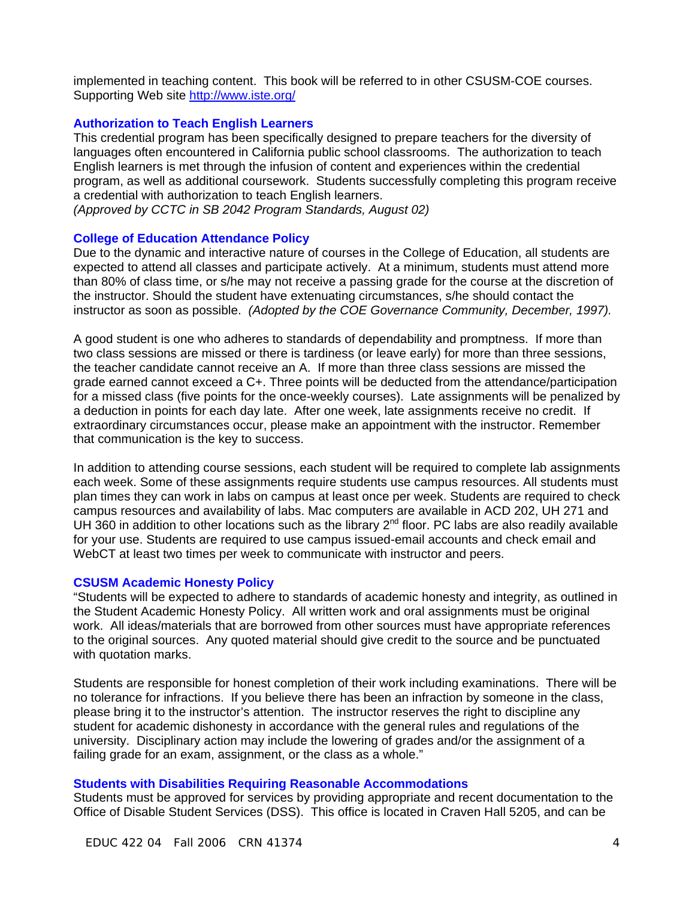implemented in teaching content. This book will be referred to in other CSUSM-COE courses. Supporting Web site http://www.iste.org/

#### **Authorization to Teach English Learners**

This credential program has been specifically designed to prepare teachers for the diversity of languages often encountered in California public school classrooms. The authorization to teach English learners is met through the infusion of content and experiences within the credential program, as well as additional coursework. Students successfully completing this program receive a credential with authorization to teach English learners.

*(Approved by CCTC in SB 2042 Program Standards, August 02)*

#### **College of Education Attendance Policy**

Due to the dynamic and interactive nature of courses in the College of Education, all students are expected to attend all classes and participate actively. At a minimum, students must attend more than 80% of class time, or s/he may not receive a passing grade for the course at the discretion of the instructor. Should the student have extenuating circumstances, s/he should contact the instructor as soon as possible. *(Adopted by the COE Governance Community, December, 1997).*

A good student is one who adheres to standards of dependability and promptness. If more than two class sessions are missed or there is tardiness (or leave early) for more than three sessions, the teacher candidate cannot receive an A. If more than three class sessions are missed the grade earned cannot exceed a C+. Three points will be deducted from the attendance/participation for a missed class (five points for the once-weekly courses). Late assignments will be penalized by a deduction in points for each day late. After one week, late assignments receive no credit. If extraordinary circumstances occur, please make an appointment with the instructor. Remember that communication is the key to success.

In addition to attending course sessions, each student will be required to complete lab assignments each week. Some of these assignments require students use campus resources. All students must plan times they can work in labs on campus at least once per week. Students are required to check campus resources and availability of labs. Mac computers are available in ACD 202, UH 271 and UH 360 in addition to other locations such as the library  $2^{nd}$  floor. PC labs are also readily available for your use. Students are required to use campus issued-email accounts and check email and WebCT at least two times per week to communicate with instructor and peers.

#### **CSUSM Academic Honesty Policy**

"Students will be expected to adhere to standards of academic honesty and integrity, as outlined in the Student Academic Honesty Policy. All written work and oral assignments must be original work. All ideas/materials that are borrowed from other sources must have appropriate references to the original sources. Any quoted material should give credit to the source and be punctuated with quotation marks.

Students are responsible for honest completion of their work including examinations. There will be no tolerance for infractions. If you believe there has been an infraction by someone in the class, please bring it to the instructor's attention. The instructor reserves the right to discipline any student for academic dishonesty in accordance with the general rules and regulations of the university. Disciplinary action may include the lowering of grades and/or the assignment of a failing grade for an exam, assignment, or the class as a whole."

#### **Students with Disabilities Requiring Reasonable Accommodations**

Students must be approved for services by providing appropriate and recent documentation to the Office of Disable Student Services (DSS). This office is located in Craven Hall 5205, and can be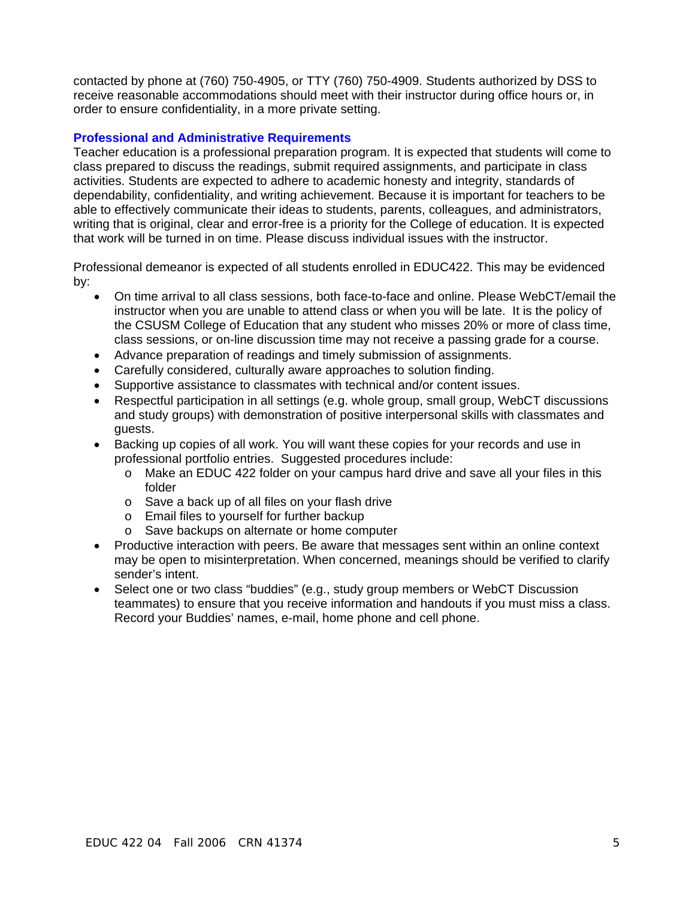contacted by phone at (760) 750-4905, or TTY (760) 750-4909. Students authorized by DSS to receive reasonable accommodations should meet with their instructor during office hours or, in order to ensure confidentiality, in a more private setting.

## **Professional and Administrative Requirements**

Teacher education is a professional preparation program. It is expected that students will come to class prepared to discuss the readings, submit required assignments, and participate in class activities. Students are expected to adhere to academic honesty and integrity, standards of dependability, confidentiality, and writing achievement. Because it is important for teachers to be able to effectively communicate their ideas to students, parents, colleagues, and administrators, writing that is original, clear and error-free is a priority for the College of education. It is expected that work will be turned in on time. Please discuss individual issues with the instructor.

Professional demeanor is expected of all students enrolled in EDUC422. This may be evidenced by:

- On time arrival to all class sessions, both face-to-face and online. Please WebCT/email the instructor when you are unable to attend class or when you will be late. It is the policy of the CSUSM College of Education that any student who misses 20% or more of class time, class sessions, or on-line discussion time may not receive a passing grade for a course.
- Advance preparation of readings and timely submission of assignments.
- Carefully considered, culturally aware approaches to solution finding.
- Supportive assistance to classmates with technical and/or content issues.
- Respectful participation in all settings (e.g. whole group, small group, WebCT discussions and study groups) with demonstration of positive interpersonal skills with classmates and guests.
- Backing up copies of all work. You will want these copies for your records and use in professional portfolio entries. Suggested procedures include:
	- o Make an EDUC 422 folder on your campus hard drive and save all your files in this folder
	- o Save a back up of all files on your flash drive
	- o Email files to yourself for further backup
	- o Save backups on alternate or home computer
- Productive interaction with peers. Be aware that messages sent within an online context may be open to misinterpretation. When concerned, meanings should be verified to clarify sender's intent.
- Select one or two class "buddies" (e.g., study group members or WebCT Discussion teammates) to ensure that you receive information and handouts if you must miss a class. Record your Buddies' names, e-mail, home phone and cell phone.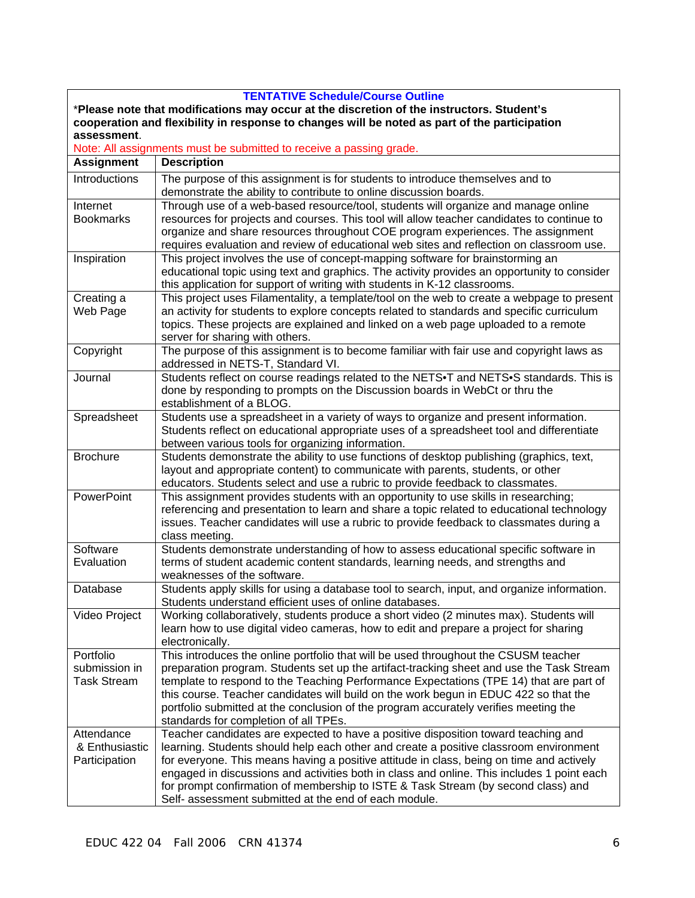| <b>TENTATIVE Schedule/Course Outline</b>                                                      |                                                                                                                                                                                                                                                                                                                                      |  |  |  |
|-----------------------------------------------------------------------------------------------|--------------------------------------------------------------------------------------------------------------------------------------------------------------------------------------------------------------------------------------------------------------------------------------------------------------------------------------|--|--|--|
| *Please note that modifications may occur at the discretion of the instructors. Student's     |                                                                                                                                                                                                                                                                                                                                      |  |  |  |
| cooperation and flexibility in response to changes will be noted as part of the participation |                                                                                                                                                                                                                                                                                                                                      |  |  |  |
| assessment.                                                                                   |                                                                                                                                                                                                                                                                                                                                      |  |  |  |
|                                                                                               | Note: All assignments must be submitted to receive a passing grade.                                                                                                                                                                                                                                                                  |  |  |  |
| <b>Assignment</b>                                                                             | <b>Description</b>                                                                                                                                                                                                                                                                                                                   |  |  |  |
| Introductions                                                                                 | The purpose of this assignment is for students to introduce themselves and to<br>demonstrate the ability to contribute to online discussion boards.                                                                                                                                                                                  |  |  |  |
| Internet                                                                                      | Through use of a web-based resource/tool, students will organize and manage online                                                                                                                                                                                                                                                   |  |  |  |
| <b>Bookmarks</b>                                                                              | resources for projects and courses. This tool will allow teacher candidates to continue to<br>organize and share resources throughout COE program experiences. The assignment<br>requires evaluation and review of educational web sites and reflection on classroom use.                                                            |  |  |  |
| Inspiration                                                                                   | This project involves the use of concept-mapping software for brainstorming an<br>educational topic using text and graphics. The activity provides an opportunity to consider<br>this application for support of writing with students in K-12 classrooms.                                                                           |  |  |  |
| Creating a                                                                                    | This project uses Filamentality, a template/tool on the web to create a webpage to present                                                                                                                                                                                                                                           |  |  |  |
| Web Page                                                                                      | an activity for students to explore concepts related to standards and specific curriculum<br>topics. These projects are explained and linked on a web page uploaded to a remote<br>server for sharing with others.                                                                                                                   |  |  |  |
| Copyright                                                                                     | The purpose of this assignment is to become familiar with fair use and copyright laws as<br>addressed in NETS-T, Standard VI.                                                                                                                                                                                                        |  |  |  |
| Journal                                                                                       | Students reflect on course readings related to the NETS. T and NETS. Standards. This is<br>done by responding to prompts on the Discussion boards in WebCt or thru the<br>establishment of a BLOG.                                                                                                                                   |  |  |  |
| Spreadsheet                                                                                   | Students use a spreadsheet in a variety of ways to organize and present information.<br>Students reflect on educational appropriate uses of a spreadsheet tool and differentiate<br>between various tools for organizing information.                                                                                                |  |  |  |
| <b>Brochure</b>                                                                               | Students demonstrate the ability to use functions of desktop publishing (graphics, text,<br>layout and appropriate content) to communicate with parents, students, or other<br>educators. Students select and use a rubric to provide feedback to classmates.                                                                        |  |  |  |
| <b>PowerPoint</b>                                                                             | This assignment provides students with an opportunity to use skills in researching;<br>referencing and presentation to learn and share a topic related to educational technology<br>issues. Teacher candidates will use a rubric to provide feedback to classmates during a<br>class meeting.                                        |  |  |  |
| Software<br>Evaluation                                                                        | Students demonstrate understanding of how to assess educational specific software in<br>terms of student academic content standards, learning needs, and strengths and<br>weaknesses of the software.                                                                                                                                |  |  |  |
| Database                                                                                      | Students apply skills for using a database tool to search, input, and organize information.<br>Students understand efficient uses of online databases.                                                                                                                                                                               |  |  |  |
| Video Project                                                                                 | Working collaboratively, students produce a short video (2 minutes max). Students will<br>learn how to use digital video cameras, how to edit and prepare a project for sharing<br>electronically.                                                                                                                                   |  |  |  |
| Portfolio                                                                                     | This introduces the online portfolio that will be used throughout the CSUSM teacher                                                                                                                                                                                                                                                  |  |  |  |
| submission in                                                                                 | preparation program. Students set up the artifact-tracking sheet and use the Task Stream                                                                                                                                                                                                                                             |  |  |  |
| <b>Task Stream</b>                                                                            | template to respond to the Teaching Performance Expectations (TPE 14) that are part of<br>this course. Teacher candidates will build on the work begun in EDUC 422 so that the<br>portfolio submitted at the conclusion of the program accurately verifies meeting the<br>standards for completion of all TPEs.                      |  |  |  |
| Attendance                                                                                    | Teacher candidates are expected to have a positive disposition toward teaching and                                                                                                                                                                                                                                                   |  |  |  |
| & Enthusiastic                                                                                | learning. Students should help each other and create a positive classroom environment                                                                                                                                                                                                                                                |  |  |  |
| Participation                                                                                 | for everyone. This means having a positive attitude in class, being on time and actively<br>engaged in discussions and activities both in class and online. This includes 1 point each<br>for prompt confirmation of membership to ISTE & Task Stream (by second class) and<br>Self- assessment submitted at the end of each module. |  |  |  |
|                                                                                               |                                                                                                                                                                                                                                                                                                                                      |  |  |  |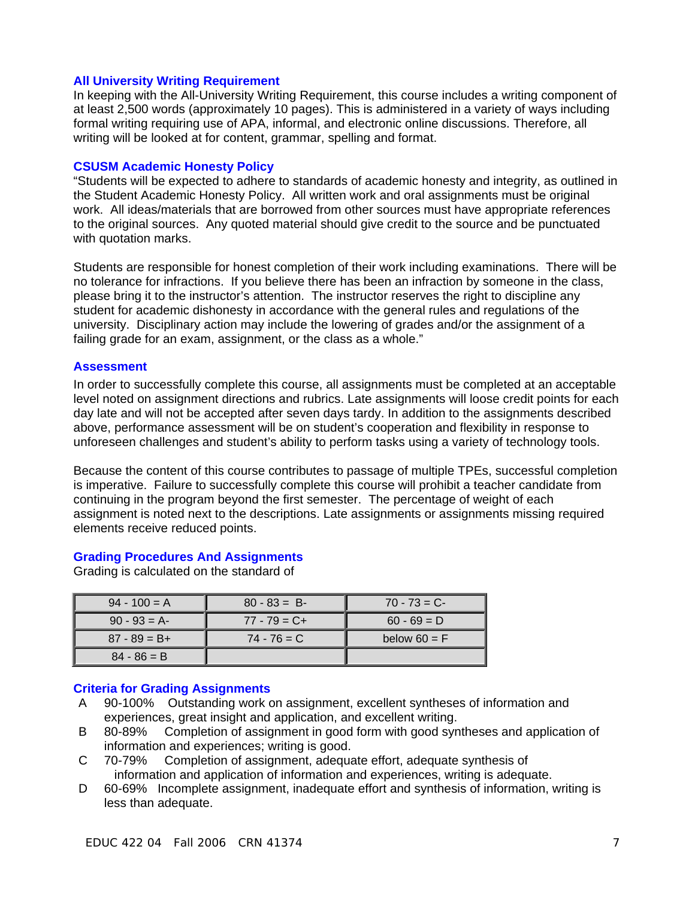#### **All University Writing Requirement**

In keeping with the All-University Writing Requirement, this course includes a writing component of at least 2,500 words (approximately 10 pages). This is administered in a variety of ways including formal writing requiring use of APA, informal, and electronic online discussions. Therefore, all writing will be looked at for content, grammar, spelling and format.

#### **CSUSM Academic Honesty Policy**

"Students will be expected to adhere to standards of academic honesty and integrity, as outlined in the Student Academic Honesty Policy. All written work and oral assignments must be original work. All ideas/materials that are borrowed from other sources must have appropriate references to the original sources. Any quoted material should give credit to the source and be punctuated with quotation marks.

Students are responsible for honest completion of their work including examinations. There will be no tolerance for infractions. If you believe there has been an infraction by someone in the class, please bring it to the instructor's attention. The instructor reserves the right to discipline any student for academic dishonesty in accordance with the general rules and regulations of the university. Disciplinary action may include the lowering of grades and/or the assignment of a failing grade for an exam, assignment, or the class as a whole."

#### **Assessment**

In order to successfully complete this course, all assignments must be completed at an acceptable level noted on assignment directions and rubrics. Late assignments will loose credit points for each day late and will not be accepted after seven days tardy. In addition to the assignments described above, performance assessment will be on student's cooperation and flexibility in response to unforeseen challenges and student's ability to perform tasks using a variety of technology tools.

Because the content of this course contributes to passage of multiple TPEs, successful completion is imperative. Failure to successfully complete this course will prohibit a teacher candidate from continuing in the program beyond the first semester. The percentage of weight of each assignment is noted next to the descriptions. Late assignments or assignments missing required elements receive reduced points.

#### **Grading Procedures And Assignments**

Grading is calculated on the standard of

| $94 - 100 = A$  | $80 - 83 = B$   | $70 - 73 = C$  |
|-----------------|-----------------|----------------|
| $90 - 93 = A$   | $77 - 79 = C +$ | $60 - 69 = D$  |
| $87 - 89 = B +$ | $74 - 76 = C$   | below $60 = F$ |
| $84 - 86 = B$   |                 |                |

## **Criteria for Grading Assignments**

- A 90-100% Outstanding work on assignment, excellent syntheses of information and experiences, great insight and application, and excellent writing.
- B 80-89% Completion of assignment in good form with good syntheses and application of information and experiences; writing is good.
- C 70-79% Completion of assignment, adequate effort, adequate synthesis of information and application of information and experiences, writing is adequate.
- D 60-69% Incomplete assignment, inadequate effort and synthesis of information, writing is less than adequate.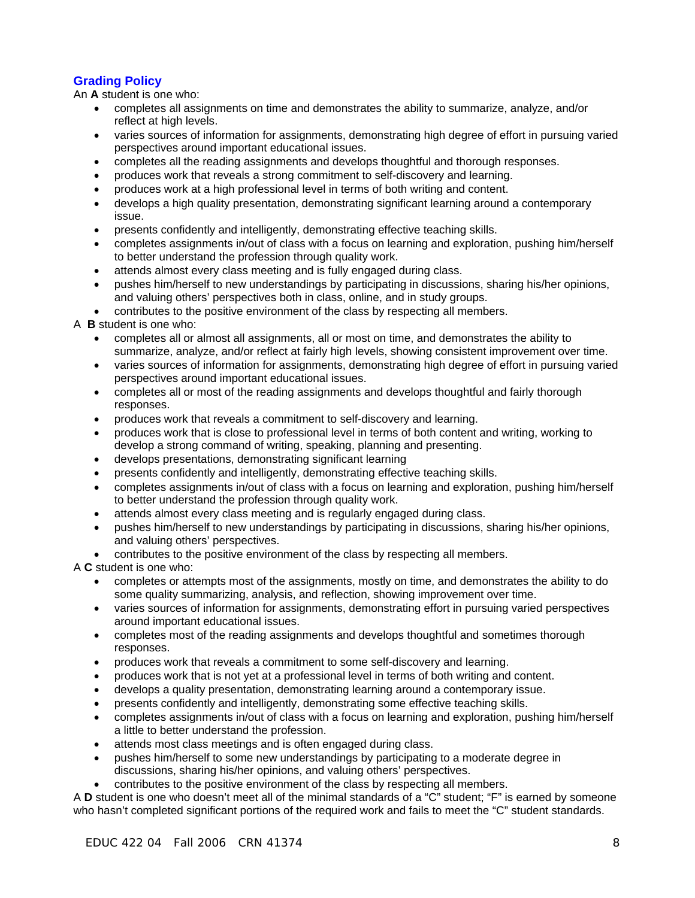# **Grading Policy**

An **A** student is one who:

- completes all assignments on time and demonstrates the ability to summarize, analyze, and/or reflect at high levels.
- varies sources of information for assignments, demonstrating high degree of effort in pursuing varied perspectives around important educational issues.
- completes all the reading assignments and develops thoughtful and thorough responses.
- produces work that reveals a strong commitment to self-discovery and learning.
- produces work at a high professional level in terms of both writing and content.
- develops a high quality presentation, demonstrating significant learning around a contemporary issue.
- presents confidently and intelligently, demonstrating effective teaching skills.
- completes assignments in/out of class with a focus on learning and exploration, pushing him/herself to better understand the profession through quality work.
- attends almost every class meeting and is fully engaged during class.
- pushes him/herself to new understandings by participating in discussions, sharing his/her opinions, and valuing others' perspectives both in class, online, and in study groups.
- contributes to the positive environment of the class by respecting all members.

A **B** student is one who:

- completes all or almost all assignments, all or most on time, and demonstrates the ability to summarize, analyze, and/or reflect at fairly high levels, showing consistent improvement over time.
- varies sources of information for assignments, demonstrating high degree of effort in pursuing varied perspectives around important educational issues.
- completes all or most of the reading assignments and develops thoughtful and fairly thorough responses.
- produces work that reveals a commitment to self-discovery and learning.
- produces work that is close to professional level in terms of both content and writing, working to develop a strong command of writing, speaking, planning and presenting.
- develops presentations, demonstrating significant learning
- presents confidently and intelligently, demonstrating effective teaching skills.
- completes assignments in/out of class with a focus on learning and exploration, pushing him/herself to better understand the profession through quality work.
- attends almost every class meeting and is regularly engaged during class.
- pushes him/herself to new understandings by participating in discussions, sharing his/her opinions, and valuing others' perspectives.
- contributes to the positive environment of the class by respecting all members.

A **C** student is one who:

- completes or attempts most of the assignments, mostly on time, and demonstrates the ability to do some quality summarizing, analysis, and reflection, showing improvement over time.
- varies sources of information for assignments, demonstrating effort in pursuing varied perspectives around important educational issues.
- completes most of the reading assignments and develops thoughtful and sometimes thorough responses.
- produces work that reveals a commitment to some self-discovery and learning.
- produces work that is not yet at a professional level in terms of both writing and content.
- develops a quality presentation, demonstrating learning around a contemporary issue.
- presents confidently and intelligently, demonstrating some effective teaching skills.
- completes assignments in/out of class with a focus on learning and exploration, pushing him/herself a little to better understand the profession.
- attends most class meetings and is often engaged during class.
- pushes him/herself to some new understandings by participating to a moderate degree in discussions, sharing his/her opinions, and valuing others' perspectives.
- contributes to the positive environment of the class by respecting all members.

A **D** student is one who doesn't meet all of the minimal standards of a "C" student; "F" is earned by someone who hasn't completed significant portions of the required work and fails to meet the "C" student standards.